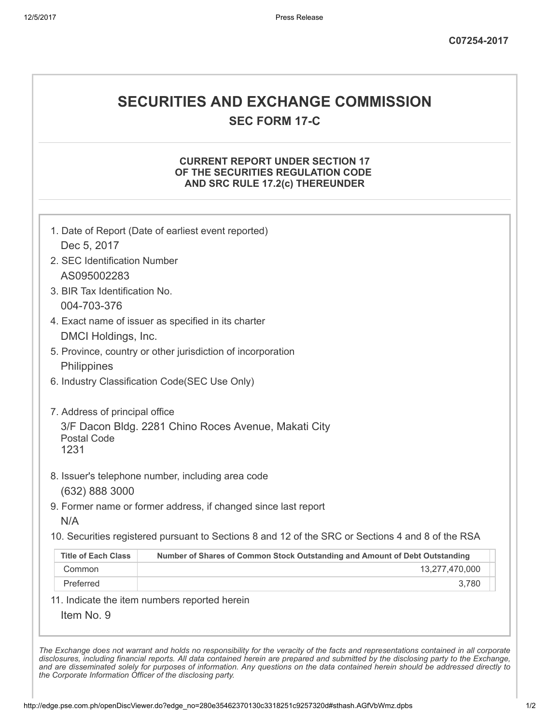# SECURITIES AND EXCHANGE COMMISSION

SEC FORM 17-C

#### CURRENT REPORT UNDER SECTION 17 OF THE SECURITIES REGULATION CODE AND SRC RULE 17.2(c) THEREUNDER

|                                | 1. Date of Report (Date of earliest event reported)                                               |  |
|--------------------------------|---------------------------------------------------------------------------------------------------|--|
| Dec 5, 2017                    |                                                                                                   |  |
| 2. SEC Identification Number   |                                                                                                   |  |
| AS095002283                    |                                                                                                   |  |
| 3. BIR Tax Identification No.  |                                                                                                   |  |
| 004-703-376                    |                                                                                                   |  |
|                                | 4. Exact name of issuer as specified in its charter                                               |  |
| DMCI Holdings, Inc.            |                                                                                                   |  |
|                                | 5. Province, country or other jurisdiction of incorporation                                       |  |
| Philippines                    |                                                                                                   |  |
|                                | 6. Industry Classification Code(SEC Use Only)                                                     |  |
| 7. Address of principal office |                                                                                                   |  |
| <b>Postal Code</b><br>1231     | 3/F Dacon Bldg. 2281 Chino Roces Avenue, Makati City                                              |  |
|                                | 8. Issuer's telephone number, including area code                                                 |  |
| (632) 888 3000                 |                                                                                                   |  |
|                                | 9. Former name or former address, if changed since last report                                    |  |
| N/A                            |                                                                                                   |  |
|                                | 10. Securities registered pursuant to Sections 8 and 12 of the SRC or Sections 4 and 8 of the RSA |  |
| <b>Title of Each Class</b>     | Number of Shares of Common Stock Outstanding and Amount of Debt Outstanding                       |  |
| Common                         | 13,277,470,000                                                                                    |  |
|                                | 3,780                                                                                             |  |

The Exchange does not warrant and holds no responsibility for the veracity of the facts and representations contained in all corporate disclosures, including financial reports. All data contained herein are prepared and submitted by the disclosing party to the Exchange, and are disseminated solely for purposes of information. Any questions on the data contained herein should be addressed directly to the Corporate Information Officer of the disclosing party.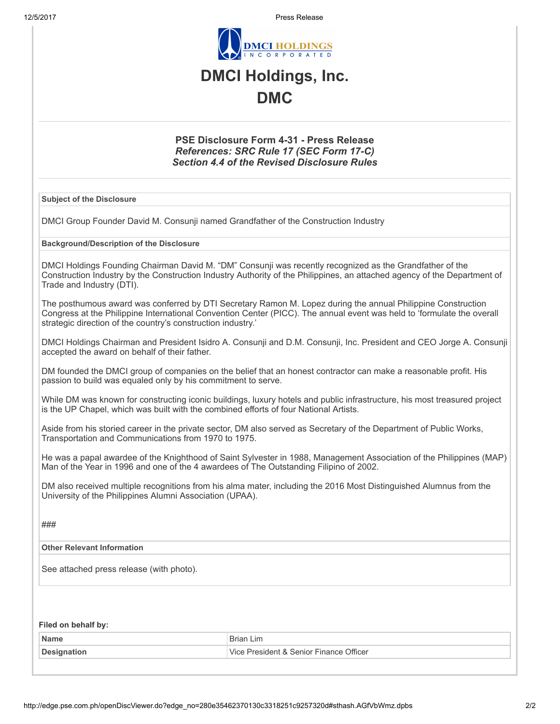12/5/2017 Press Release



## DMCI Holdings, Inc. DMC

#### PSE Disclosure Form 4-31 - Press Release References: SRC Rule 17 (SEC Form 17-C) Section 4.4 of the Revised Disclosure Rules

#### Subject of the Disclosure

DMCI Group Founder David M. Consunji named Grandfather of the Construction Industry

#### Background/Description of the Disclosure

DMCI Holdings Founding Chairman David M. "DM" Consunji was recently recognized as the Grandfather of the Construction Industry by the Construction Industry Authority of the Philippines, an attached agency of the Department of Trade and Industry (DTI).

The posthumous award was conferred by DTI Secretary Ramon M. Lopez during the annual Philippine Construction Congress at the Philippine International Convention Center (PICC). The annual event was held to 'formulate the overall strategic direction of the country's construction industry.'

DMCI Holdings Chairman and President Isidro A. Consunji and D.M. Consunji, Inc. President and CEO Jorge A. Consunji accepted the award on behalf of their father.

DM founded the DMCI group of companies on the belief that an honest contractor can make a reasonable profit. His passion to build was equaled only by his commitment to serve.

While DM was known for constructing iconic buildings, luxury hotels and public infrastructure, his most treasured project is the UP Chapel, which was built with the combined efforts of four National Artists.

Aside from his storied career in the private sector, DM also served as Secretary of the Department of Public Works, Transportation and Communications from 1970 to 1975.

He was a papal awardee of the Knighthood of Saint Sylvester in 1988, Management Association of the Philippines (MAP) Man of the Year in 1996 and one of the 4 awardees of The Outstanding Filipino of 2002.

DM also received multiple recognitions from his alma mater, including the 2016 Most Distinguished Alumnus from the University of the Philippines Alumni Association (UPAA).

###

#### Other Relevant Information

See attached press release (with photo).

#### Filed on behalf by:

| <b>Name</b> | $\overline{\phantom{0}}$<br>iη                                       |
|-------------|----------------------------------------------------------------------|
|             | . Senior i<br><b>.</b> Officer<br>$1 - m + 0$ .<br>$^{\prime\prime}$ |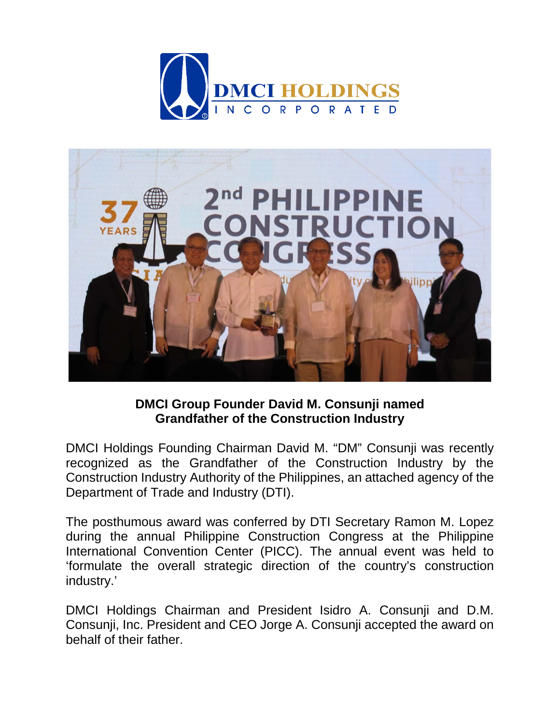



### **DMCI Group Founder David M. Consunji named Grandfather of the Construction Industry**

DMCI Holdings Founding Chairman David M. "DM" Consunji was recently recognized as the Grandfather of the Construction Industry by the Construction Industry Authority of the Philippines, an attached agency of the Department of Trade and Industry (DTI).

The posthumous award was conferred by DTI Secretary Ramon M. Lopez during the annual Philippine Construction Congress at the Philippine International Convention Center (PICC). The annual event was held to 'formulate the overall strategic direction of the country's construction industry.'

DMCI Holdings Chairman and President Isidro A. Consunji and D.M. Consunji, Inc. President and CEO Jorge A. Consunji accepted the award on behalf of their father.